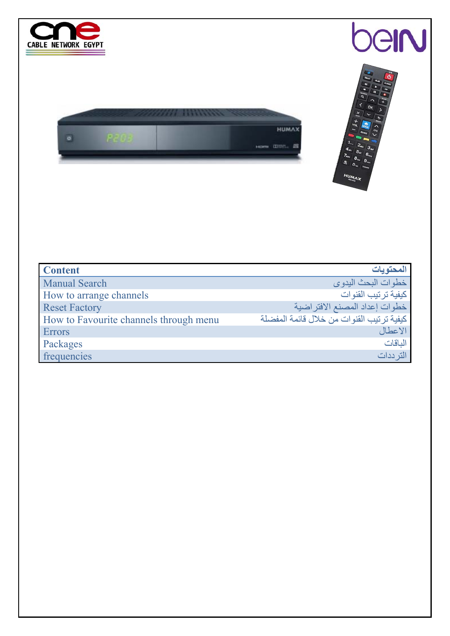

| <b>Content</b>                         | المحتويات                                   |
|----------------------------------------|---------------------------------------------|
| <b>Manual Search</b>                   | خطوات البحث اليدوى                          |
| How to arrange channels                | كيفية تر تيب القنوات                        |
| <b>Reset Factory</b>                   | خطوات إعداد المصنع الافتراضية               |
| How to Favourite channels through menu | كيفية تر تيب القنو ات من خلال قائمة المفضلة |
| <b>Errors</b>                          | الاعطال                                     |
| Packages                               | الماقات                                     |
| frequencies                            | التر ددات                                   |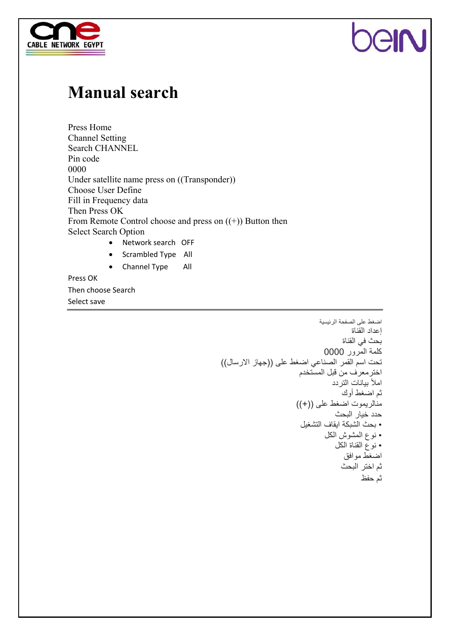



#### **Manual search**

Press Home Channel Setting Search CHANNEL Pin code 0000 Under satellite name press on ((Transponder)) Choose User Define Fill in Frequency data Then Press OK From Remote Control choose and press on ((+)) Button then Select Search Option • Network search OFF • Scrambled Type All • Channel Type All

Press OK Then choose Search Select save

اضغط على الصفحة الرئيسية إعداد القناة بحث في القناة آلمة المرور 0000 تحت اسم القمر الصناعي اضغط على ((جهاز الارسال )) اخترمعرف من قبل المستخدم املأ بيانات التردد ثم اضغط أوك منالريموت اضغط على ((+)) حدد خيار البحث • بحث الشبكة ايقاف التشغيل • نوع المشوش الكل • نوع القناة الكل اضغط موافق ثم اختر البحث ثم حفظ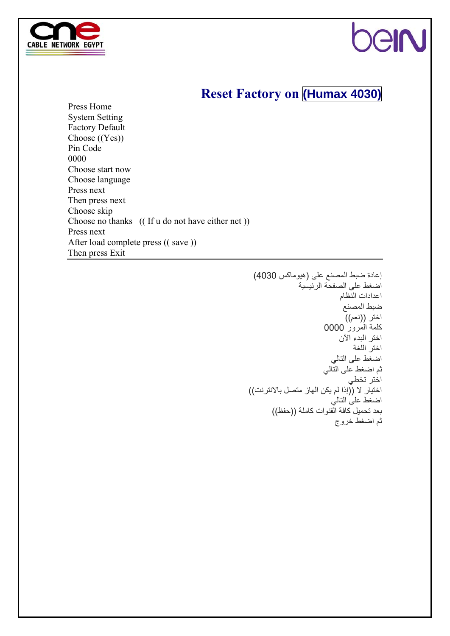

### **GIN**

#### **Reset Factory on (Humax 4030)**

Press Home System Setting Factory Default Choose ((Yes)) Pin Code 0000 Choose start now Choose language Press next Then press next Choose skip Choose no thanks (( If u do not have either net )) Press next After load complete press (( save )) Then press Exit

> إعادة ضبط المصنع على (هيوماآس 4030) اضغط على الصفحة الرئيسية اعدادات النظام ضبط المصنع اختر ((نعم)) آلمة المرور 0000 اختر البدء الآن اختر اللغة اضغط على التالي ثم اضغط على التالي اختر تخطي اختيار لا ((إذا لم يكن الهاز متصل بالانترنت)) اضغط على التالي بعد تحميل كافة القنوات كاملة ((حفظ)) ثم اضغط خروج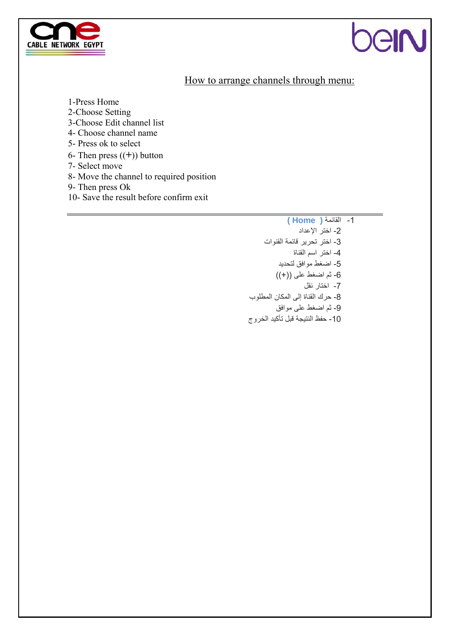

## ell

#### How to arrange channels through menu:

1-Press Home

2-Choose Setting

3-Choose Edit channel list

4- Choose channel name

5- Press ok to select

6- Then press ((**+**)) button

7- Select move

8- Move the channel to required position

9- Then press Ok

10- Save the result before confirm exit

-1 القائمة **( Home (**  -2 اختر الإعداد -3 اختر تحرير قائمة القنوات -4 اختر اسم القناة -5 اضغط موافق لتحديد -6 ثم اضغط على ((+)) -7 اختار نقل -8 حرك القناة إلى المكان المطلوب -9 ثم اضغط على موافق -10 حفظ النتيجة قبل تأآيد الخروج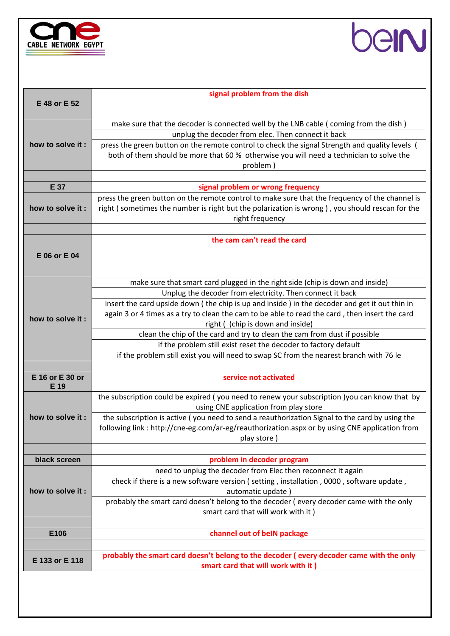



| E 48 or E 52            | signal problem from the dish                                                                                 |  |  |  |
|-------------------------|--------------------------------------------------------------------------------------------------------------|--|--|--|
|                         |                                                                                                              |  |  |  |
|                         | make sure that the decoder is connected well by the LNB cable (coming from the dish)                         |  |  |  |
|                         | unplug the decoder from elec. Then connect it back                                                           |  |  |  |
| how to solve it:        | press the green button on the remote control to check the signal Strength and quality levels (               |  |  |  |
|                         | both of them should be more that 60 % otherwise you will need a technician to solve the                      |  |  |  |
|                         | problem)                                                                                                     |  |  |  |
|                         |                                                                                                              |  |  |  |
| E 37                    | signal problem or wrong frequency                                                                            |  |  |  |
|                         | press the green button on the remote control to make sure that the frequency of the channel is               |  |  |  |
| how to solve it :       | right (sometimes the number is right but the polarization is wrong), you should rescan for the               |  |  |  |
|                         | right frequency                                                                                              |  |  |  |
|                         | the cam can't read the card                                                                                  |  |  |  |
|                         |                                                                                                              |  |  |  |
| E 06 or E 04            |                                                                                                              |  |  |  |
|                         |                                                                                                              |  |  |  |
|                         | make sure that smart card plugged in the right side (chip is down and inside)                                |  |  |  |
|                         | Unplug the decoder from electricity. Then connect it back                                                    |  |  |  |
|                         | insert the card upside down (the chip is up and inside) in the decoder and get it out thin in                |  |  |  |
|                         | again 3 or 4 times as a try to clean the cam to be able to read the card, then insert the card               |  |  |  |
| how to solve it:        | right ( (chip is down and inside)                                                                            |  |  |  |
|                         | clean the chip of the card and try to clean the cam from dust if possible                                    |  |  |  |
|                         | if the problem still exist reset the decoder to factory default                                              |  |  |  |
|                         | if the problem still exist you will need to swap SC from the nearest branch with 76 le                       |  |  |  |
|                         |                                                                                                              |  |  |  |
| E 16 or E 30 or<br>E 19 | service not activated                                                                                        |  |  |  |
|                         | the subscription could be expired (you need to renew your subscription )you can know that by                 |  |  |  |
|                         | using CNE application from play store                                                                        |  |  |  |
| how to solve it:        | the subscription is active (you need to send a reauthorization Signal to the card by using the               |  |  |  |
|                         | following link: http://cne-eg.com/ar-eg/reauthorization.aspx or by using CNE application from                |  |  |  |
|                         | play store)                                                                                                  |  |  |  |
|                         |                                                                                                              |  |  |  |
| black screen            | problem in decoder program                                                                                   |  |  |  |
|                         | need to unplug the decoder from Elec then reconnect it again                                                 |  |  |  |
| how to solve it:        | check if there is a new software version (setting, installation, 0000, software update,<br>automatic update) |  |  |  |
|                         | probably the smart card doesn't belong to the decoder (every decoder came with the only                      |  |  |  |
|                         | smart card that will work with it)                                                                           |  |  |  |
|                         |                                                                                                              |  |  |  |
| E106                    | channel out of beIN package                                                                                  |  |  |  |
|                         |                                                                                                              |  |  |  |
| E 133 or E 118          | probably the smart card doesn't belong to the decoder (every decoder came with the only                      |  |  |  |
|                         | smart card that will work with it)                                                                           |  |  |  |
|                         |                                                                                                              |  |  |  |
|                         |                                                                                                              |  |  |  |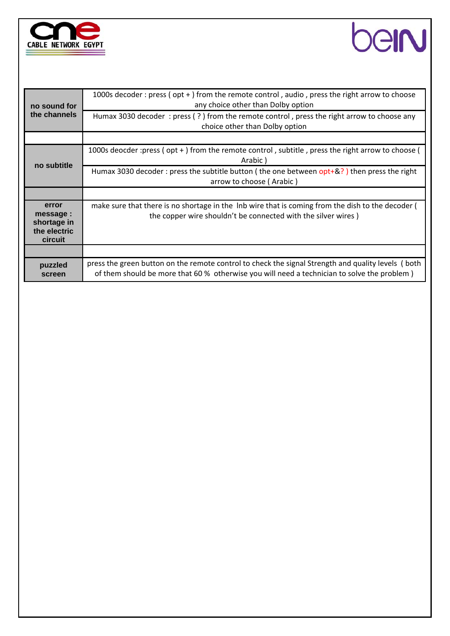



| no sound for<br>the channels                                | 1000s decoder : press ( $opt +$ ) from the remote control, audio, press the right arrow to choose<br>any choice other than Dolby option                                                           |
|-------------------------------------------------------------|---------------------------------------------------------------------------------------------------------------------------------------------------------------------------------------------------|
|                                                             | Humax 3030 decoder: press $(?)$ from the remote control, press the right arrow to choose any<br>choice other than Dolby option                                                                    |
|                                                             |                                                                                                                                                                                                   |
| no subtitle                                                 | 1000s deocder : press (opt +) from the remote control, subtitle, press the right arrow to choose (<br>Arabic)                                                                                     |
|                                                             | Humax 3030 decoder : press the subtitle button (the one between $opt+8$ ?) then press the right<br>arrow to choose (Arabic)                                                                       |
|                                                             |                                                                                                                                                                                                   |
| error<br>message:<br>shortage in<br>the electric<br>circuit | make sure that there is no shortage in the lnb wire that is coming from the dish to the decoder (<br>the copper wire shouldn't be connected with the silver wires)                                |
|                                                             |                                                                                                                                                                                                   |
| puzzled<br>screen                                           | press the green button on the remote control to check the signal Strength and quality levels (both<br>of them should be more that 60 % otherwise you will need a technician to solve the problem) |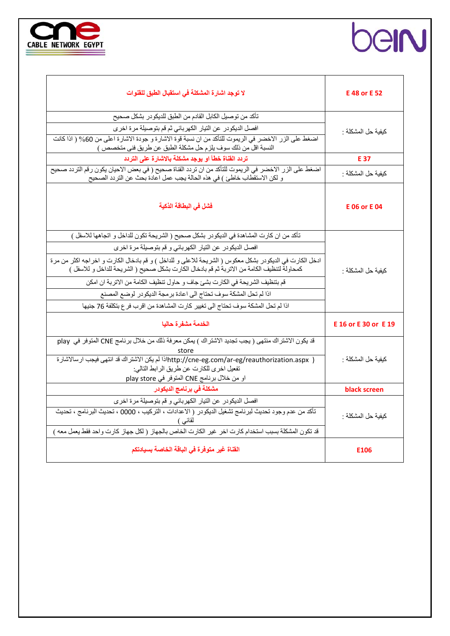

|  | <u>)</u> |  |
|--|----------|--|
|  |          |  |

| لا توجد اشارة المشكلة في استقبال الطبق للقنوات                                                                                                                                                                                                                                                    | E 48 or E 52         |  |
|---------------------------------------------------------------------------------------------------------------------------------------------------------------------------------------------------------------------------------------------------------------------------------------------------|----------------------|--|
| تأكد من توصيل الكابل القادم من الطبق للديكودر بشكل صحيح                                                                                                                                                                                                                                           |                      |  |
| افصل الديكودر عن التيار الكهربائي ثم قم بتوصيلة مرة اخرى                                                                                                                                                                                                                                          | كيفية حل المشكلة :   |  |
| اضغط على الزر الاخضر في الريموت للتأكد من ان نسبة قوة الاشارة و جودة الاشارة اعلى من 60% ( اذا كانت<br>النسبة اقل من ذلك سوف يلزم حل مشكلة الطبق عن طريق فني متخصص )                                                                                                                              |                      |  |
| تردد القناة خطأ او يوجد مشكلة بالاشارة على التردد                                                                                                                                                                                                                                                 | E 37                 |  |
| اضغط على الزر الاخضر في الريموت للتأكد من ان تردد القناة صحيح ( في بعض الاحيان يكون رقم التردد صحيح<br>و لكن الاستقطاب خاطئ ) في هذه الحالة يجب عمل اعادة بحث عن التردد الصحيح                                                                                                                    | كيفية حل المشكلة :   |  |
| فشل في البطاقة الذكية                                                                                                                                                                                                                                                                             | <b>E06 or E04</b>    |  |
| تأكد من ان كارت المشاهدة في الديكودر بشكل صحيح ( الشريحة تكون للداخل و اتجاهها للاسفل )                                                                                                                                                                                                           |                      |  |
| افصل الديكودر عن التيار الكهربائي و قم بتوصيلة مرة اخرى                                                                                                                                                                                                                                           |                      |  |
| ادخل الكارت في الديكودر بشكل معكوس ( الشريحة للاعلى و للداخل ) و قم بادخال الكارت و اخراجه اكثر من مرة<br>كمحاولة لتنظيف الكامة من الاتربة ثم قم بادخال الكارت بشكل صحيح ( الشريحة للداخل و للاسفل )                                                                                              | كيفية حل المشكلة :   |  |
| قم بتنظيف الشريحة في الكارت بشئ جاف و حاول تنظيف الكامة من الاتربة ان امكن                                                                                                                                                                                                                        |                      |  |
| اذا لم تحل المشكة سوف تحتاج الى اعادة برمجة الديكودر لوضع المصنع                                                                                                                                                                                                                                  |                      |  |
| اذا لم تحل المشكة سوف تحتاج الى تغيير كارت المشاهدة من اقرب فرع بتكلفة 76 جنيها                                                                                                                                                                                                                   |                      |  |
|                                                                                                                                                                                                                                                                                                   |                      |  |
| الخدمة مشفرة حاليا                                                                                                                                                                                                                                                                                | E 16 or E 30 or E 19 |  |
| قد يكون الاشتراك منتهى ( يجب تجديد الاشتراك ) يمكن معرفة ذلك من خلال برنامج CNE المتوفر في play<br>store<br>  http://cne-eg.com/ar-eg/reauthorization.aspxاذا لم يكن الاشتراك قد انتهى فيجب ارسالاشارة<br>تفعيل اخرى للكارت عن طريق الرابط التالي:<br>او من خلال برنامج CNE المتوفر في play store | كيفية حل المشكلة :   |  |
| مشكلة في برنامج الديكودر                                                                                                                                                                                                                                                                          | black screen         |  |
| افصل الديكودر عن التيار الكهربائي و قم بتوصيلة مرة اخرى<br>تأكد من عدم وجود تحديث لبرنامج تشغيل الديكودر ( الاعدادات ، التركيب ، 0000 ، تحديث البرنامج ، تحديث<br>لقائبي )                                                                                                                        | كيفية حل المشكلة :   |  |
| قد تكون المشكلة بسبب استخدام كارت اخر غير الكارت الخاص بالجهاز ( لكل جهاز كارت واحد فقط يعمل معه )                                                                                                                                                                                                |                      |  |